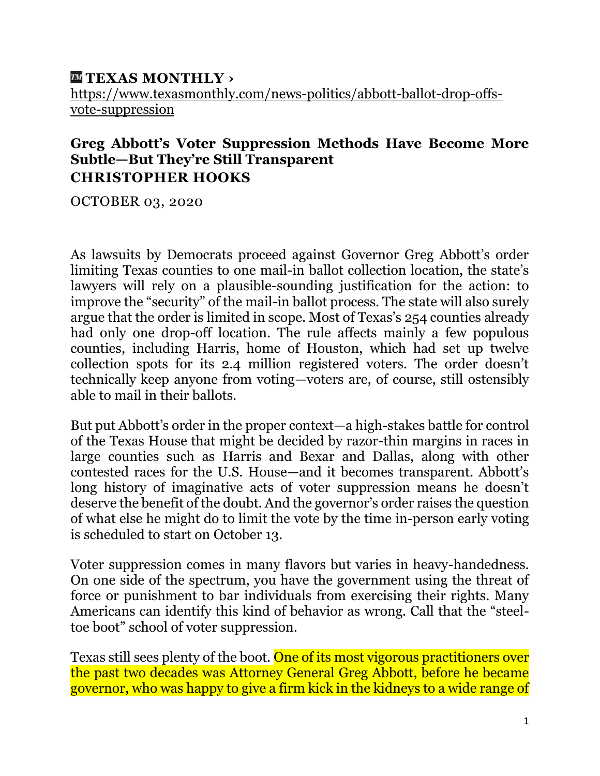## **[TEXAS MONTHLY ›](https://www.texasmonthly.com/news-politics/abbott-ballot-drop-offs-vote-suppression/)** [https://www.texasmonthly.com/news-politics/abbott-ballot-drop-offs](https://www.texasmonthly.com/news-politics/abbott-ballot-drop-offs-vote-suppression)[vote-suppression](https://www.texasmonthly.com/news-politics/abbott-ballot-drop-offs-vote-suppression)

## **Greg Abbott's Voter Suppression Methods Have Become More Subtle—But They're Still Transparent CHRISTOPHER HOOKS**

OCTOBER 03, 2020

As lawsuits by Democrats proceed against Governor Greg Abbott's order limiting Texas counties to one mail-in ballot collection location, the state's lawyers will rely on a plausible-sounding justification for the action: to improve the "security" of the mail-in ballot process. The state will also surely argue that the order is limited in scope. Most of Texas's 254 counties already had only one drop-off location. The rule affects mainly a few populous counties, including Harris, home of Houston, which had set up twelve collection spots for its 2.4 million registered voters. The order doesn't technically keep anyone from voting—voters are, of course, still ostensibly able to mail in their ballots.

But put Abbott's order in the proper context—a high-stakes battle for control of the Texas House that might be decided by razor-thin margins in races in large counties such as Harris and Bexar and Dallas, along with other contested races for the U.S. House—and it becomes transparent. Abbott's long history of imaginative acts of voter suppression means he doesn't deserve the benefit of the doubt. And the governor's order raises the question of what else he might do to limit the vote by the time in-person early voting is scheduled to start on October 13.

Voter suppression comes in many flavors but varies in heavy-handedness. On one side of the spectrum, you have the government using the threat of force or punishment to bar individuals from exercising their rights. Many Americans can identify this kind of behavior as wrong. Call that the "steeltoe boot" school of voter suppression.

Texas still sees plenty of the boot. One of its most vigorous practitioners over the past two decades was Attorney General Greg Abbott, before he became governor, who was happy to give a firm kick in the kidneys to a wide range of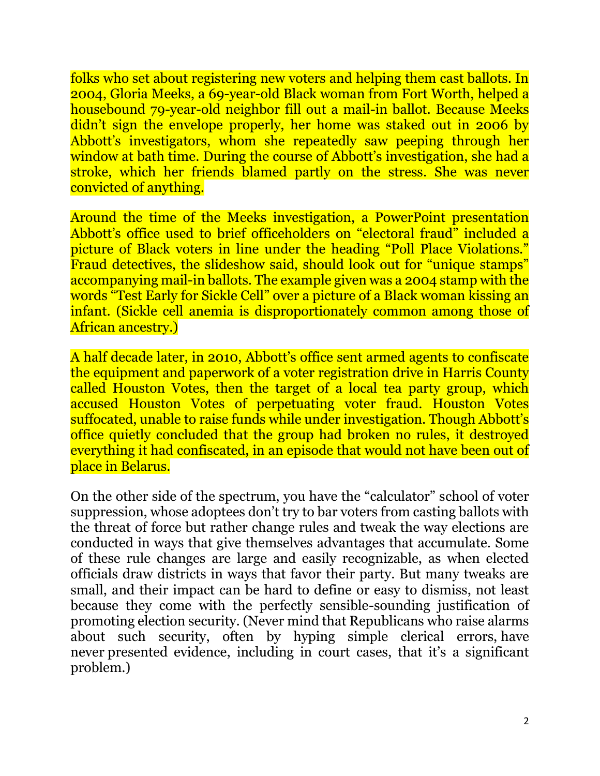folks who set about registering new voters and helping them cast ballots. In 2004, Gloria Meeks, a 69-year-old Black woman from Fort Worth, helped a housebound 79-year-old neighbor fill out a mail-in ballot. Because Meeks didn't sign the envelope properly, her home was staked out in 2006 by Abbott's investigators, whom she repeatedly saw peeping through her window at bath time. During the course of Abbott's investigation, she had a stroke, which her friends blamed partly on the stress. She was never convicted of anything.

Around the time of the Meeks investigation, a PowerPoint presentation Abbott's office used to brief officeholders on "electoral fraud" included a picture of Black voters in line under the heading "Poll Place Violations." Fraud detectives, the slideshow said, should look out for "unique stamps" accompanying mail-in ballots. The example given was a 2004 stamp with the words "Test Early for Sickle Cell" over a picture of a Black woman kissing an infant. (Sickle cell anemia is disproportionately common among those of African ancestry.)

A half decade later, in 2010, Abbott's office sent armed agents to confiscate the equipment and paperwork of a voter registration drive in Harris County called Houston Votes, then the target of a local tea party group, which accused Houston Votes of perpetuating voter fraud. Houston Votes suffocated, unable to raise funds while under investigation. Though Abbott's office quietly concluded that the group had broken no rules, it destroyed everything it had confiscated, in an episode that would not have been out of place in Belarus.

On the other side of the spectrum, you have the "calculator" school of voter suppression, whose adoptees don't try to bar voters from casting ballots with the threat of force but rather change rules and tweak the way elections are conducted in ways that give themselves advantages that accumulate. Some of these rule changes are large and easily recognizable, as when elected officials draw districts in ways that favor their party. But many tweaks are small, and their impact can be hard to define or easy to dismiss, not least because they come with the perfectly sensible-sounding justification of promoting election security. (Never mind that Republicans who raise alarms about such security, often by hyping simple clerical errors, [have](https://www.brookings.edu/blog/fixgov/2020/06/02/low-rates-of-fraud-in-vote-by-mail-states-show-the-benefits-outweigh-the-risks/)  [never](https://www.brookings.edu/blog/fixgov/2020/06/02/low-rates-of-fraud-in-vote-by-mail-states-show-the-benefits-outweigh-the-risks/) [presented evidence](https://www.brennancenter.org/issues/ensure-every-american-can-vote/vote-suppression/myth-voter-fraud), including in court cases, that it's a significant problem.)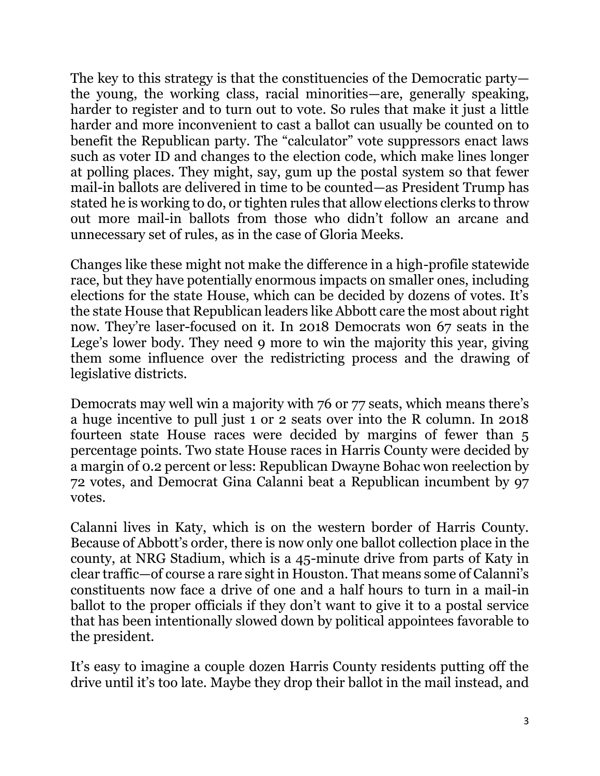The key to this strategy is that the constituencies of the Democratic party the young, the working class, racial minorities—are, generally speaking, harder to register and to turn out to vote. So rules that make it just a little harder and more inconvenient to cast a ballot can usually be counted on to benefit the Republican party. The "calculator" vote suppressors enact laws such as voter ID and changes to the election code, which make lines longer at polling places. They might, say, gum up the postal system so that fewer mail-in ballots are delivered in time to be counted—as President Trump has stated [he is working to do,](https://nymag.com/intelligencer/2020/08/trump-admits-starving-usps-sabotage-voting-by-mail.html) or tighten rules that allow elections clerks to throw out more mail-in ballots from those who didn't follow an arcane and unnecessary set of rules, as in the case of Gloria Meeks.

Changes like these might not make the difference in a high-profile statewide race, but they have potentially enormous impacts on smaller ones, including elections for the state House, which can be decided by dozens of votes. It's the state House that Republican leaders like Abbott care the most about right now. They're laser-focused on it. In 2018 Democrats won 67 seats in the Lege's lower body. They need 9 more to win the majority this year, giving them some influence over the redistricting process and the drawing of legislative districts.

Democrats may well win a majority with 76 or 77 seats, which means there's a huge incentive to pull just 1 or 2 seats over into the R column. In 2018 fourteen state House races were decided by margins of fewer than 5 percentage points. Two state House races in Harris County were decided by a margin of 0.2 percent or less: Republican Dwayne Bohac won reelection by 72 votes, and Democrat Gina Calanni beat a Republican incumbent by 97 votes.

Calanni lives in Katy, which is on the western border of Harris County. Because of Abbott's order, there is now only one ballot collection place in the county, at NRG Stadium, which is a 45-minute drive from parts of Katy in clear traffic—of course a rare sight in Houston. That means some of Calanni's constituents now face a drive of one and a half hours to turn in a mail-in ballot to the proper officials if they don't want to give it to a postal service that has been intentionally slowed down by political appointees favorable to the president.

It's easy to imagine a couple dozen Harris County residents putting off the drive until it's too late. Maybe they drop their ballot in the mail instead, and